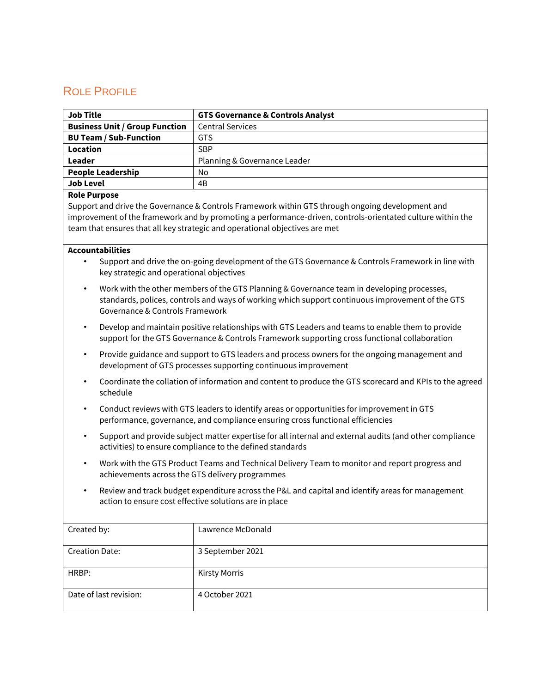# ROLE PROFILE

| <b>Job Title</b>                      | <b>GTS Governance &amp; Controls Analyst</b> |
|---------------------------------------|----------------------------------------------|
| <b>Business Unit / Group Function</b> | <b>Central Services</b>                      |
| <b>BU Team / Sub-Function</b>         | <b>GTS</b>                                   |
| Location                              | <b>SBP</b>                                   |
| Leader                                | Planning & Governance Leader                 |
| <b>People Leadership</b>              | No                                           |
| <b>Job Level</b>                      | 4B                                           |

#### **Role Purpose**

Support and drive the Governance & Controls Framework within GTS through ongoing development and improvement of the framework and by promoting a performance-driven, controls-orientated culture within the team that ensures that all key strategic and operational objectives are met

#### **Accountabilities**

- Support and drive the on-going development of the GTS Governance & Controls Framework in line with key strategic and operational objectives
- Work with the other members of the GTS Planning & Governance team in developing processes, standards, polices, controls and ways of working which support continuous improvement of the GTS Governance & Controls Framework
- Develop and maintain positive relationships with GTS Leaders and teams to enable them to provide support for the GTS Governance & Controls Framework supporting cross functional collaboration
- Provide guidance and support to GTS leaders and process owners for the ongoing management and development of GTS processes supporting continuous improvement
- Coordinate the collation of information and content to produce the GTS scorecard and KPIs to the agreed schedule
- Conduct reviews with GTS leaders to identify areas or opportunities for improvement in GTS performance, governance, and compliance ensuring cross functional efficiencies
- Support and provide subject matter expertise for all internal and external audits (and other compliance activities) to ensure compliance to the defined standards
- Work with the GTS Product Teams and Technical Delivery Team to monitor and report progress and achievements across the GTS delivery programmes
- Review and track budget expenditure across the P&L and capital and identify areas for management action to ensure cost effective solutions are in place

| Created by:            | Lawrence McDonald    |
|------------------------|----------------------|
| <b>Creation Date:</b>  | 3 September 2021     |
| HRBP:                  | <b>Kirsty Morris</b> |
| Date of last revision: | 4 October 2021       |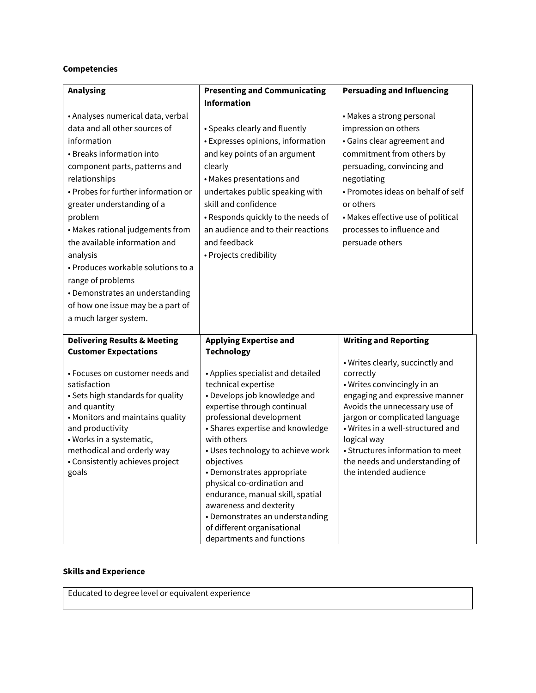### **Competencies**

| <b>Analysing</b>                                  | <b>Presenting and Communicating</b>                            | <b>Persuading and Influencing</b>                               |
|---------------------------------------------------|----------------------------------------------------------------|-----------------------------------------------------------------|
|                                                   | <b>Information</b>                                             |                                                                 |
| • Analyses numerical data, verbal                 |                                                                | • Makes a strong personal                                       |
| data and all other sources of                     | • Speaks clearly and fluently                                  | impression on others                                            |
| information                                       | • Expresses opinions, information                              | • Gains clear agreement and                                     |
| • Breaks information into                         | and key points of an argument                                  | commitment from others by                                       |
| component parts, patterns and                     | clearly                                                        | persuading, convincing and                                      |
| relationships                                     | • Makes presentations and                                      | negotiating                                                     |
| • Probes for further information or               | undertakes public speaking with                                | • Promotes ideas on behalf of self                              |
| greater understanding of a                        | skill and confidence                                           | or others                                                       |
| problem                                           | • Responds quickly to the needs of                             | • Makes effective use of political                              |
| • Makes rational judgements from                  | an audience and to their reactions                             | processes to influence and                                      |
| the available information and                     | and feedback                                                   | persuade others                                                 |
| analysis                                          | • Projects credibility                                         |                                                                 |
| · Produces workable solutions to a                |                                                                |                                                                 |
| range of problems                                 |                                                                |                                                                 |
| • Demonstrates an understanding                   |                                                                |                                                                 |
| of how one issue may be a part of                 |                                                                |                                                                 |
| a much larger system.                             |                                                                |                                                                 |
| <b>Delivering Results &amp; Meeting</b>           | <b>Applying Expertise and</b>                                  | <b>Writing and Reporting</b>                                    |
| <b>Customer Expectations</b>                      | <b>Technology</b>                                              |                                                                 |
|                                                   |                                                                | • Writes clearly, succinctly and                                |
| • Focuses on customer needs and                   | • Applies specialist and detailed                              | correctly                                                       |
| satisfaction                                      | technical expertise                                            | • Writes convincingly in an                                     |
| · Sets high standards for quality<br>and quantity | • Develops job knowledge and<br>expertise through continual    | engaging and expressive manner<br>Avoids the unnecessary use of |
| • Monitors and maintains quality                  | professional development                                       | jargon or complicated language                                  |
| and productivity                                  | • Shares expertise and knowledge                               | • Writes in a well-structured and                               |
| · Works in a systematic,                          | with others                                                    | logical way                                                     |
| methodical and orderly way                        | • Uses technology to achieve work                              | • Structures information to meet                                |
| • Consistently achieves project                   | objectives                                                     | the needs and understanding of                                  |
| goals                                             | · Demonstrates appropriate                                     | the intended audience                                           |
|                                                   | physical co-ordination and<br>endurance, manual skill, spatial |                                                                 |
|                                                   | awareness and dexterity                                        |                                                                 |
|                                                   | • Demonstrates an understanding                                |                                                                 |
|                                                   |                                                                |                                                                 |
|                                                   | of different organisational                                    |                                                                 |

## **Skills and Experience**

Educated to degree level or equivalent experience